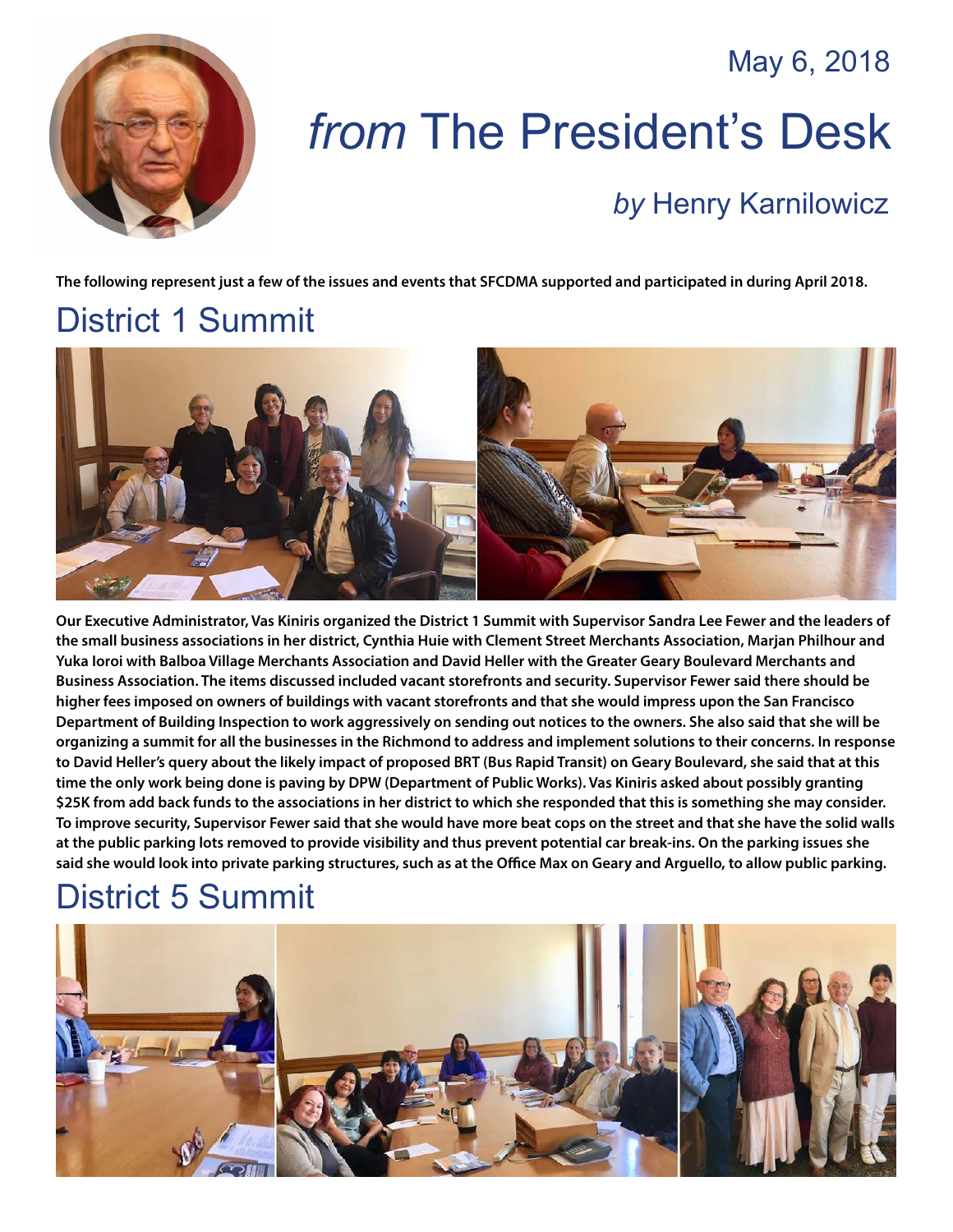May 6, 2018



# *from* The President's Desk

#### *by* [Henry Karnilowicz](mailto:henry@sfcdma.org)

**The following represent just a few of the issues and events that SFCDMA supported and participated in during April 2018.**

# District 1 Summit



**Our Executive Administrator, Vas Kiniris organized the District 1 Summit with Supervisor Sandra Lee Fewer and the leaders of the small business associations in her district, Cynthia Huie with Clement Street Merchants Association, Marjan Philhour and Yuka Ioroi with Balboa Village Merchants Association and David Heller with the Greater Geary Boulevard Merchants and Business Association. The items discussed included vacant storefronts and security. Supervisor Fewer said there should be higher fees imposed on owners of buildings with vacant storefronts and that she would impress upon the San Francisco Department of Building Inspection to work aggressively on sending out notices to the owners. She also said that she will be organizing a summit for all the businesses in the Richmond to address and implement solutions to their concerns. In response to David Heller's query about the likely impact of proposed BRT (Bus Rapid Transit) on Geary Boulevard, she said that at this time the only work being done is paving by DPW (Department of Public Works). Vas Kiniris asked about possibly granting \$25K from add back funds to the associations in her district to which she responded that this is something she may consider. To improve security, Supervisor Fewer said that she would have more beat cops on the street and that she have the solid walls at the public parking lots removed to provide visibility and thus prevent potential car break-ins. On the parking issues she said she would look into private parking structures, such as at the Office Max on Geary and Arguello, to allow public parking.**

# District 5 Summit

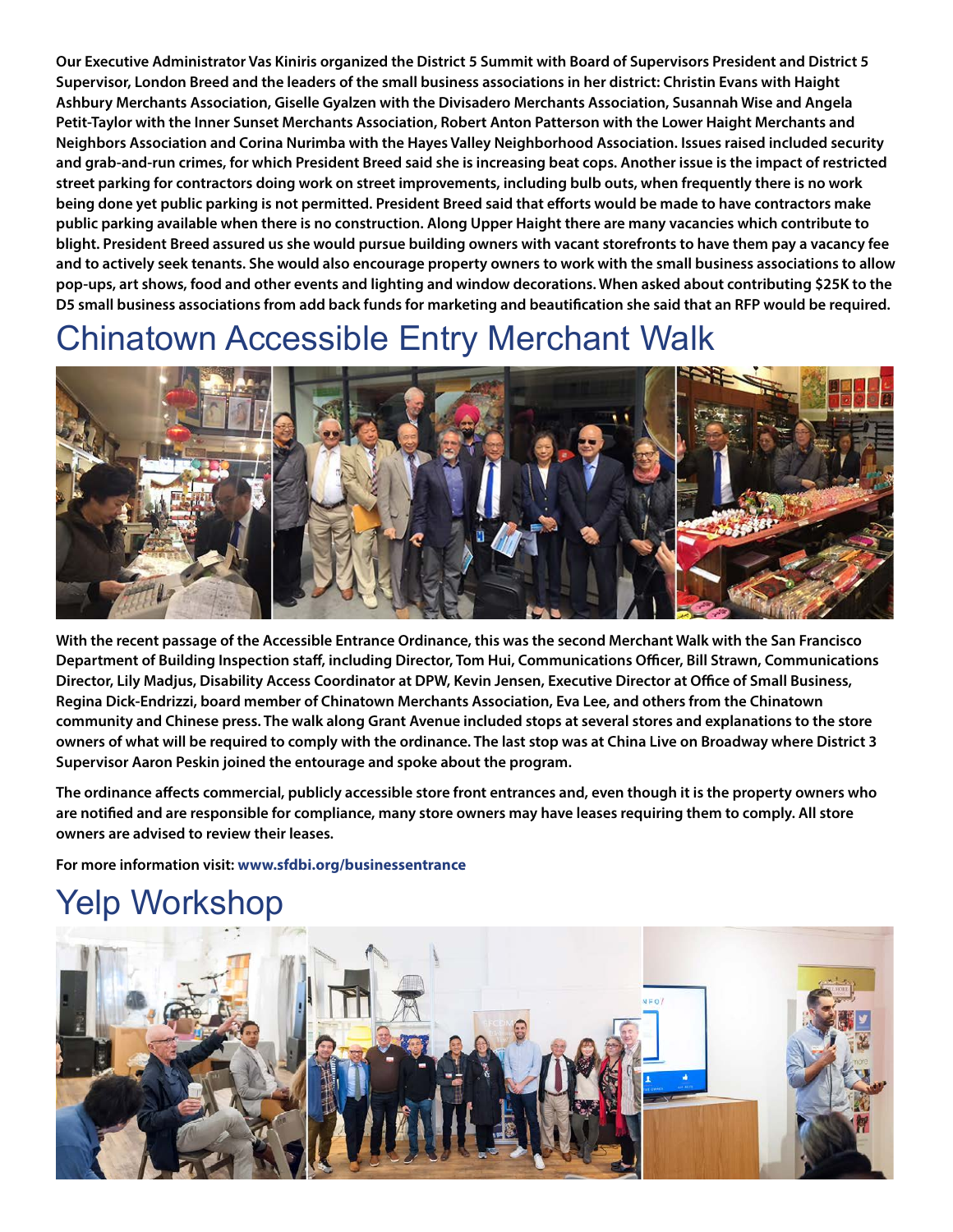**Our Executive Administrator Vas Kiniris organized the District 5 Summit with Board of Supervisors President and District 5 Supervisor, London Breed and the leaders of the small business associations in her district: Christin Evans with Haight Ashbury Merchants Association, Giselle Gyalzen with the Divisadero Merchants Association, Susannah Wise and Angela Petit-Taylor with the Inner Sunset Merchants Association, Robert Anton Patterson with the Lower Haight Merchants and Neighbors Association and Corina Nurimba with the Hayes Valley Neighborhood Association. Issues raised included security and grab-and-run crimes, for which President Breed said she is increasing beat cops. Another issue is the impact of restricted street parking for contractors doing work on street improvements, including bulb outs, when frequently there is no work being done yet public parking is not permitted. President Breed said that efforts would be made to have contractors make public parking available when there is no construction. Along Upper Haight there are many vacancies which contribute to blight. President Breed assured us she would pursue building owners with vacant storefronts to have them pay a vacancy fee and to actively seek tenants. She would also encourage property owners to work with the small business associations to allow pop-ups, art shows, food and other events and lighting and window decorations. When asked about contributing \$25K to the D5 small business associations from add back funds for marketing and beautification she said that an RFP would be required.**

#### Chinatown Accessible Entry Merchant Walk



**With the recent passage of the Accessible Entrance Ordinance, this was the second Merchant Walk with the San Francisco Department of Building Inspection staff, including Director, Tom Hui, Communications Officer, Bill Strawn, Communications Director, Lily Madjus, Disability Access Coordinator at DPW, Kevin Jensen, Executive Director at Office of Small Business, Regina Dick-Endrizzi, board member of Chinatown Merchants Association, Eva Lee, and others from the Chinatown community and Chinese press. The walk along Grant Avenue included stops at several stores and explanations to the store owners of what will be required to comply with the ordinance. The last stop was at China Live on Broadway where District 3 Supervisor Aaron Peskin joined the entourage and spoke about the program.** 

**The ordinance affects commercial, publicly accessible store front entrances and, even though it is the property owners who are notified and are responsible for compliance, many store owners may have leases requiring them to comply. All store owners are advised to review their leases.** 

**For more information visit: <www.sfdbi.org/businessentrance>**

# Yelp Workshop

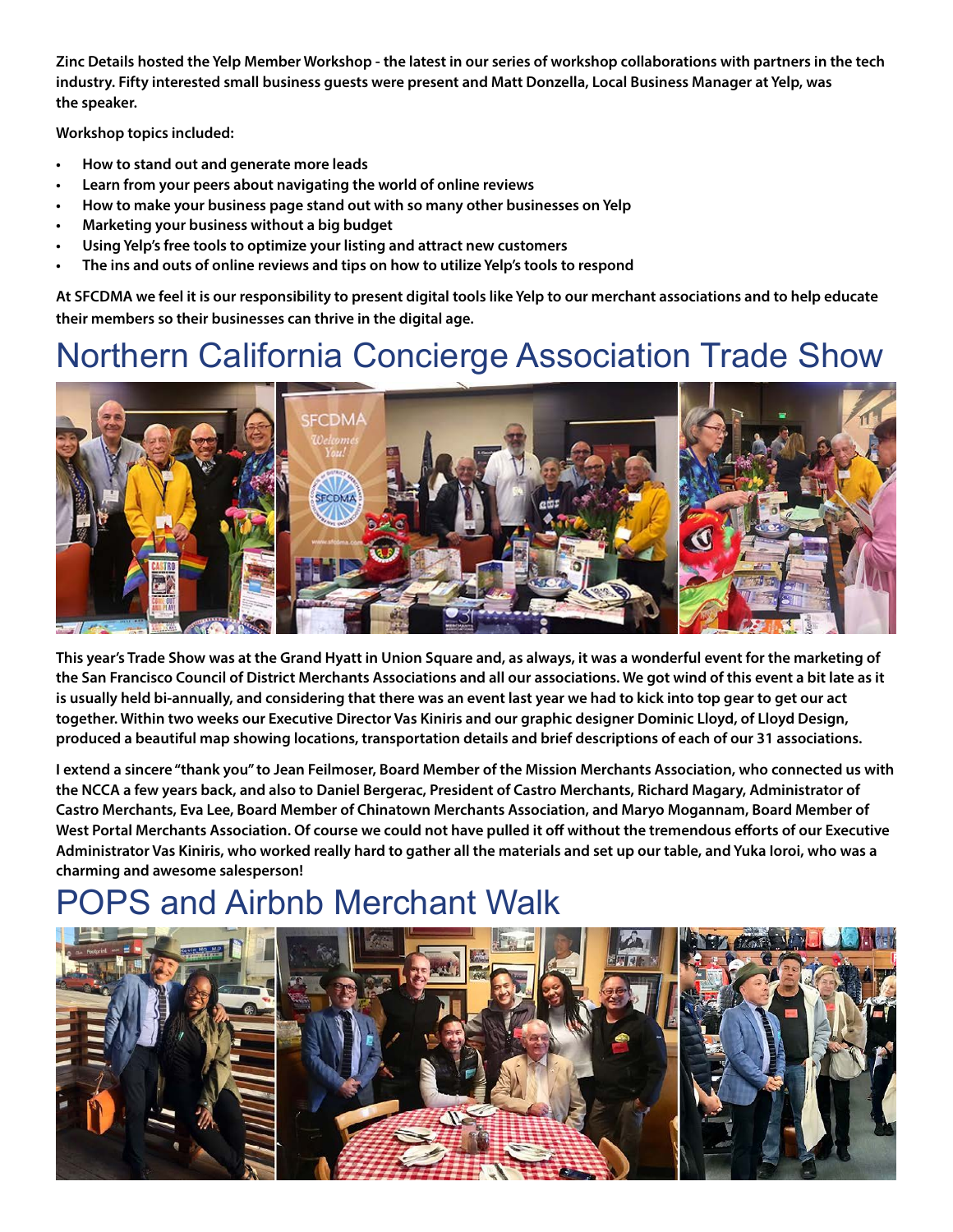**Zinc Details hosted the Yelp Member Workshop - the latest in our series of workshop collaborations with partners in the tech industry. Fifty interested small business guests were present and Matt Donzella, Local Business Manager at Yelp, was the speaker.** 

**Workshop topics included:**

- **• How to stand out and generate more leads**
- **• Learn from your peers about navigating the world of online reviews**
- **• How to make your business page stand out with so many other businesses on Yelp**
- **• Marketing your business without a big budget**
- **• Using Yelp's free tools to optimize your listing and attract new customers**
- **• The ins and outs of online reviews and tips on how to utilize Yelp's tools to respond**

**At SFCDMA we feel it is our responsibility to present digital tools like Yelp to our merchant associations and to help educate their members so their businesses can thrive in the digital age.** 

### Northern California Concierge Association Trade Show



**This year's Trade Show was at the Grand Hyatt in Union Square and, as always, it was a wonderful event for the marketing of the San Francisco Council of District Merchants Associations and all our associations. We got wind of this event a bit late as it is usually held bi-annually, and considering that there was an event last year we had to kick into top gear to get our act together. Within two weeks our Executive Director Vas Kiniris and our graphic designer Dominic Lloyd, of [Lloyd Design,](https://www.lloyddesign.net/) produced a beautiful map showing locations, transportation details and brief descriptions of each of our 31 associations.** 

**I extend a sincere "thank you" to Jean Feilmoser, Board Member of the Mission Merchants Association, who connected us with the NCCA a few years back, and also to Daniel Bergerac, President of Castro Merchants, Richard Magary, Administrator of Castro Merchants, Eva Lee, Board Member of Chinatown Merchants Association, and Maryo Mogannam, Board Member of West Portal Merchants Association. Of course we could not have pulled it off without the tremendous efforts of our Executive Administrator Vas Kiniris, who worked really hard to gather all the materials and set up our table, and Yuka Ioroi, who was a charming and awesome salesperson!**

## PS and Airbnb Merchant Walk